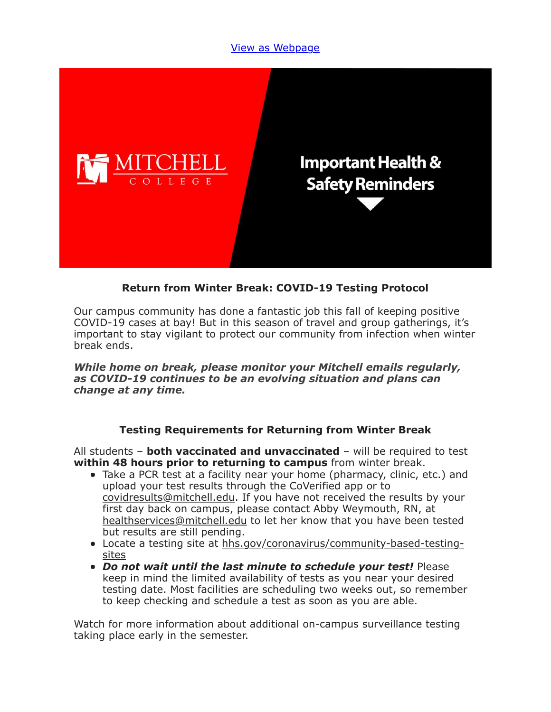### [View as Webpage](https://campaignlp.constantcontact.com/em/1119223208753/e8cdf682-e469-4c50-ae62-ea18e7c1b7bd)



## **Return from Winter Break: COVID-19 Testing Protocol**

Our campus community has done a fantastic job this fall of keeping positive COVID-19 cases at bay! But in this season of travel and group gatherings, it's important to stay vigilant to protect our community from infection when winter break ends.

*While home on break, please monitor your Mitchell emails regularly, as COVID-19 continues to be an evolving situation and plans can change at any time.*

#### **Testing Requirements for Returning from Winter Break**

All students – **both vaccinated and unvaccinated** – will be required to test **within 48 hours prior to returning to campus** from winter break.

- Take a PCR test at a facility near your home (pharmacy, clinic, etc.) and upload your test results through the CoVerified app or to [covidresults@mitchell.edu](mailto:covidresults@mitchell.edu). If you have not received the results by your first day back on campus, please contact Abby Weymouth, RN, at [healthservices@mitchell.edu](mailto:healthservices@mitchell.edu) to let her know that you have been tested but results are still pending.
- [Locate a testing site at hhs.gov/coronavirus/community-based-testing](http://hhs.gov/coronavirus/community-based-testing-sites)sites
- *Do not wait until the last minute to schedule your test!* Please keep in mind the limited availability of tests as you near your desired testing date. Most facilities are scheduling two weeks out, so remember to keep checking and schedule a test as soon as you are able.

Watch for more information about additional on-campus surveillance testing taking place early in the semester.